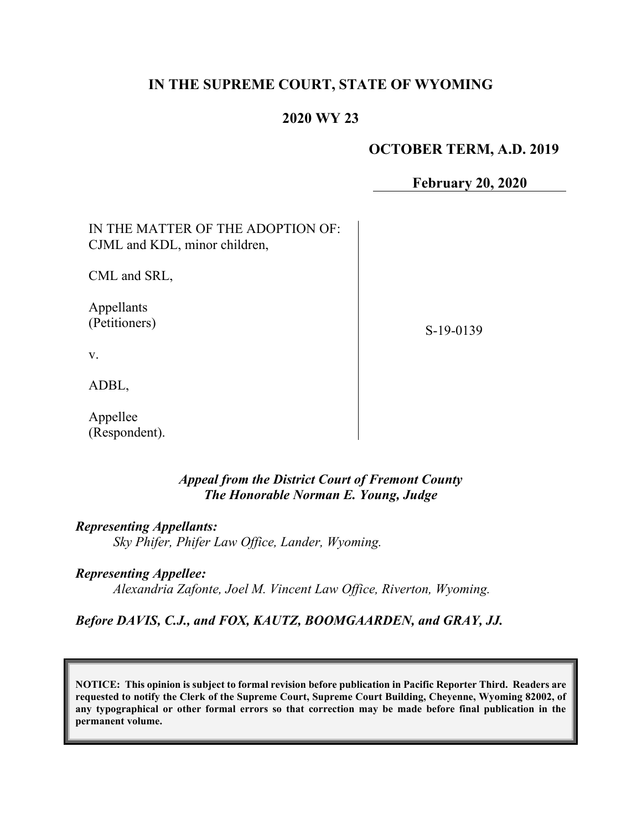# **IN THE SUPREME COURT, STATE OF WYOMING**

# **2020 WY 23**

## **OCTOBER TERM, A.D. 2019**

**February 20, 2020**

| IN THE MATTER OF THE ADOPTION OF:<br>CJML and KDL, minor children, |           |
|--------------------------------------------------------------------|-----------|
| CML and SRL,                                                       |           |
| Appellants<br>(Petitioners)                                        | S-19-0139 |
| V.                                                                 |           |
| ADBL,                                                              |           |
| Appellee                                                           |           |

*Appeal from the District Court of Fremont County The Honorable Norman E. Young, Judge*

*Representing Appellants: Sky Phifer, Phifer Law Office, Lander, Wyoming.*

(Respondent).

*Representing Appellee: Alexandria Zafonte, Joel M. Vincent Law Office, Riverton, Wyoming.*

## *Before DAVIS, C.J., and FOX, KAUTZ, BOOMGAARDEN, and GRAY, JJ.*

**NOTICE: This opinion is subject to formal revision before publication in Pacific Reporter Third. Readers are requested to notify the Clerk of the Supreme Court, Supreme Court Building, Cheyenne, Wyoming 82002, of any typographical or other formal errors so that correction may be made before final publication in the permanent volume.**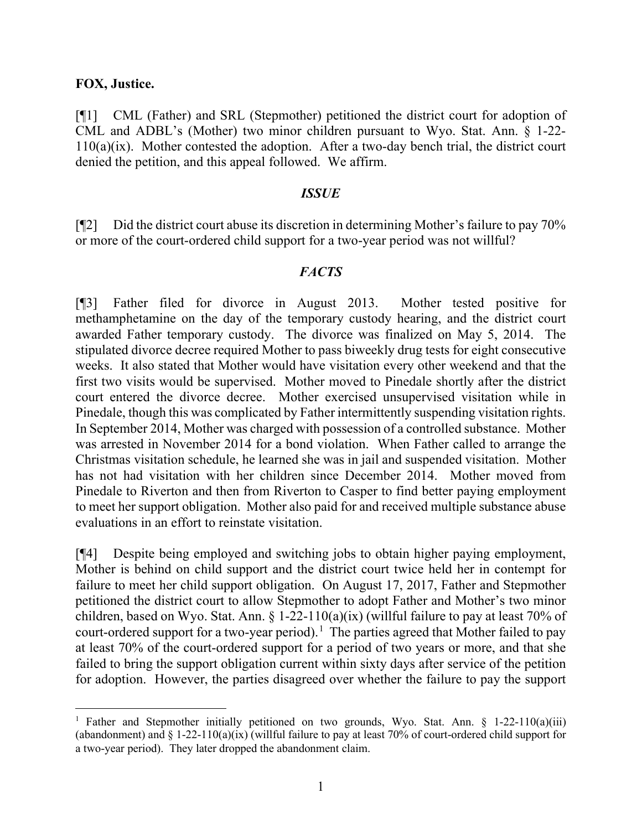### **FOX, Justice.**

[¶1] CML (Father) and SRL (Stepmother) petitioned the district court for adoption of CML and ADBL's (Mother) two minor children pursuant to Wyo. Stat. Ann. § 1-22- 110(a)(ix). Mother contested the adoption. After a two-day bench trial, the district court denied the petition, and this appeal followed. We affirm.

#### *ISSUE*

 $\lceil \P2 \rceil$  Did the district court abuse its discretion in determining Mother's failure to pay 70% or more of the court-ordered child support for a two-year period was not willful?

### *FACTS*

[¶3] Father filed for divorce in August 2013. Mother tested positive for methamphetamine on the day of the temporary custody hearing, and the district court awarded Father temporary custody. The divorce was finalized on May 5, 2014. The stipulated divorce decree required Mother to pass biweekly drug tests for eight consecutive weeks. It also stated that Mother would have visitation every other weekend and that the first two visits would be supervised. Mother moved to Pinedale shortly after the district court entered the divorce decree. Mother exercised unsupervised visitation while in Pinedale, though this was complicated by Father intermittently suspending visitation rights. In September 2014, Mother was charged with possession of a controlled substance. Mother was arrested in November 2014 for a bond violation. When Father called to arrange the Christmas visitation schedule, he learned she was in jail and suspended visitation. Mother has not had visitation with her children since December 2014. Mother moved from Pinedale to Riverton and then from Riverton to Casper to find better paying employment to meet her support obligation. Mother also paid for and received multiple substance abuse evaluations in an effort to reinstate visitation.

[¶4] Despite being employed and switching jobs to obtain higher paying employment, Mother is behind on child support and the district court twice held her in contempt for failure to meet her child support obligation. On August 17, 2017, Father and Stepmother petitioned the district court to allow Stepmother to adopt Father and Mother's two minor children, based on Wyo. Stat. Ann. § 1-22-110(a)(ix) (willful failure to pay at least 70% of court-ordered support for a two-year period).<sup>[1](#page-1-0)</sup> The parties agreed that Mother failed to pay at least 70% of the court-ordered support for a period of two years or more, and that she failed to bring the support obligation current within sixty days after service of the petition for adoption. However, the parties disagreed over whether the failure to pay the support

<span id="page-1-0"></span><sup>&</sup>lt;sup>1</sup> Father and Stepmother initially petitioned on two grounds, Wyo. Stat. Ann.  $\S$  1-22-110(a)(iii) (abandonment) and  $\S 1-22-110(a)(ix)$  (willful failure to pay at least 70% of court-ordered child support for a two-year period). They later dropped the abandonment claim.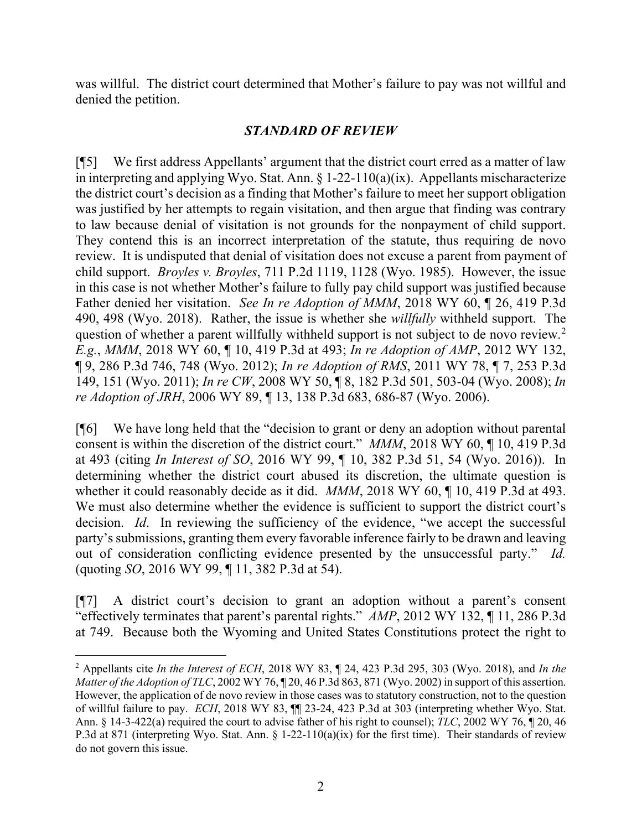was willful. The district court determined that Mother's failure to pay was not willful and denied the petition.

## *STANDARD OF REVIEW*

[¶5] We first address Appellants' argument that the district court erred as a matter of law in interpreting and applying Wyo. Stat. Ann.  $\S 1-22-110(a)(ix)$ . Appellants mischaracterize the district court's decision as a finding that Mother's failure to meet her support obligation was justified by her attempts to regain visitation, and then argue that finding was contrary to law because denial of visitation is not grounds for the nonpayment of child support. They contend this is an incorrect interpretation of the statute, thus requiring de novo review. It is undisputed that denial of visitation does not excuse a parent from payment of child support. *Broyles v. Broyles*, 711 P.2d 1119, 1128 (Wyo. 1985). However, the issue in this case is not whether Mother's failure to fully pay child support was justified because Father denied her visitation. *See In re Adoption of MMM*, 2018 WY 60, ¶ 26, 419 P.3d 490, 498 (Wyo. 2018). Rather, the issue is whether she *willfully* withheld support. The question of whether a parent willfully withheld support is not subject to de novo review.<sup>[2](#page-2-0)</sup> *E.g.*, *MMM*, 2018 WY 60, ¶ 10, 419 P.3d at 493; *In re Adoption of AMP*, 2012 WY 132, ¶ 9, 286 P.3d 746, 748 (Wyo. 2012); *In re Adoption of RMS*, 2011 WY 78, ¶ 7, 253 P.3d 149, 151 (Wyo. 2011); *In re CW*, 2008 WY 50, ¶ 8, 182 P.3d 501, 503-04 (Wyo. 2008); *In re Adoption of JRH*, 2006 WY 89, ¶ 13, 138 P.3d 683, 686-87 (Wyo. 2006).

[¶6] We have long held that the "decision to grant or deny an adoption without parental consent is within the discretion of the district court." *MMM*, 2018 WY 60, ¶ 10, 419 P.3d at 493 (citing *In Interest of SO*, 2016 WY 99, ¶ 10, 382 P.3d 51, 54 (Wyo. 2016)). In determining whether the district court abused its discretion, the ultimate question is whether it could reasonably decide as it did. *MMM*, 2018 WY 60, ¶ 10, 419 P.3d at 493. We must also determine whether the evidence is sufficient to support the district court's decision. *Id*. In reviewing the sufficiency of the evidence, "we accept the successful party's submissions, granting them every favorable inference fairly to be drawn and leaving out of consideration conflicting evidence presented by the unsuccessful party." *Id.* (quoting *SO*, 2016 WY 99, ¶ 11, 382 P.3d at 54).

[¶7] A district court's decision to grant an adoption without a parent's consent "effectively terminates that parent's parental rights." *AMP*, 2012 WY 132, ¶ 11, 286 P.3d at 749. Because both the Wyoming and United States Constitutions protect the right to

<span id="page-2-0"></span><sup>2</sup> Appellants cite *In the Interest of ECH*, 2018 WY 83, ¶ 24, 423 P.3d 295, 303 (Wyo. 2018), and *In the Matter of the Adoption of TLC*, 2002 WY 76, ¶ 20, 46 P.3d 863, 871 (Wyo. 2002) in support of this assertion. However, the application of de novo review in those cases was to statutory construction, not to the question of willful failure to pay. *ECH*, 2018 WY 83, ¶¶ 23-24, 423 P.3d at 303 (interpreting whether Wyo. Stat. Ann. § 14-3-422(a) required the court to advise father of his right to counsel); *TLC*, 2002 WY 76, ¶ 20, 46 P.3d at 871 (interpreting Wyo. Stat. Ann.  $\S 1-22-110(a)(ix)$  for the first time). Their standards of review do not govern this issue.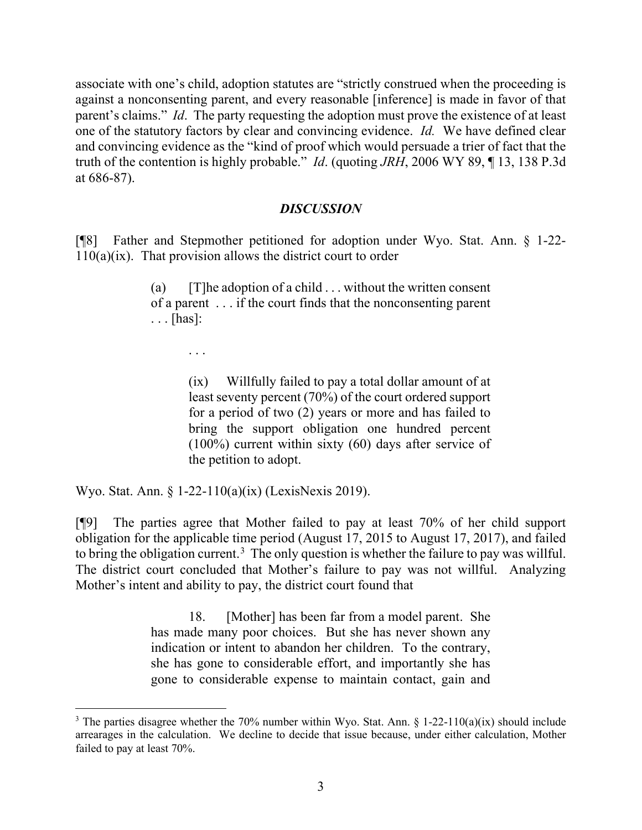associate with one's child, adoption statutes are "strictly construed when the proceeding is against a nonconsenting parent, and every reasonable [inference] is made in favor of that parent's claims." *Id*. The party requesting the adoption must prove the existence of at least one of the statutory factors by clear and convincing evidence. *Id.* We have defined clear and convincing evidence as the "kind of proof which would persuade a trier of fact that the truth of the contention is highly probable." *Id*. (quoting *JRH*, 2006 WY 89, ¶ 13, 138 P.3d at 686-87).

## *DISCUSSION*

[¶8] Father and Stepmother petitioned for adoption under Wyo. Stat. Ann. § 1-22- 110(a)(ix). That provision allows the district court to order

> (a)  $[T]$ he adoption of a child . . . without the written consent of a parent . . . if the court finds that the nonconsenting parent . . . [has]:

> > . . .

(ix) Willfully failed to pay a total dollar amount of at least seventy percent (70%) of the court ordered support for a period of two (2) years or more and has failed to bring the support obligation one hundred percent (100%) current within sixty (60) days after service of the petition to adopt.

Wyo. Stat. Ann. § 1-22-110(a)(ix) (LexisNexis 2019).

[¶9] The parties agree that Mother failed to pay at least 70% of her child support obligation for the applicable time period (August 17, 2015 to August 17, 2017), and failed to bring the obligation current.<sup>[3](#page-3-0)</sup> The only question is whether the failure to pay was willful. The district court concluded that Mother's failure to pay was not willful. Analyzing Mother's intent and ability to pay, the district court found that

> 18. [Mother] has been far from a model parent. She has made many poor choices. But she has never shown any indication or intent to abandon her children. To the contrary, she has gone to considerable effort, and importantly she has gone to considerable expense to maintain contact, gain and

<span id="page-3-0"></span><sup>&</sup>lt;sup>3</sup> The parties disagree whether the 70% number within Wyo. Stat. Ann.  $\S$  1-22-110(a)(ix) should include arrearages in the calculation. We decline to decide that issue because, under either calculation, Mother failed to pay at least 70%.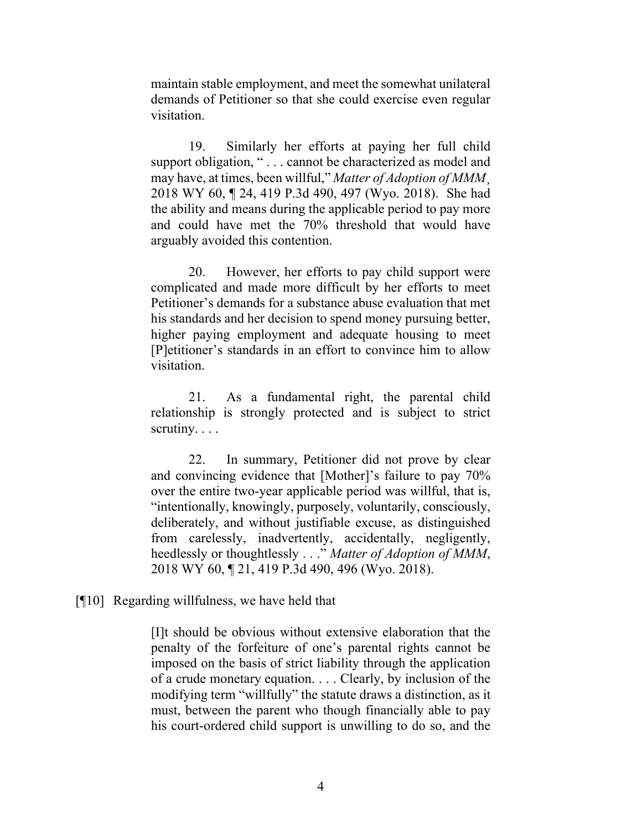maintain stable employment, and meet the somewhat unilateral demands of Petitioner so that she could exercise even regular visitation.

19. Similarly her efforts at paying her full child support obligation, " . . . cannot be characterized as model and may have, at times, been willful," *Matter of Adoption of MMM*¸ 2018 WY 60, ¶ 24, 419 P.3d 490, 497 (Wyo. 2018). She had the ability and means during the applicable period to pay more and could have met the 70% threshold that would have arguably avoided this contention.

20. However, her efforts to pay child support were complicated and made more difficult by her efforts to meet Petitioner's demands for a substance abuse evaluation that met his standards and her decision to spend money pursuing better, higher paying employment and adequate housing to meet [P]etitioner's standards in an effort to convince him to allow visitation.

21. As a fundamental right, the parental child relationship is strongly protected and is subject to strict scrutiny. . . .

22. In summary, Petitioner did not prove by clear and convincing evidence that [Mother]'s failure to pay 70% over the entire two-year applicable period was willful, that is, "intentionally, knowingly, purposely, voluntarily, consciously, deliberately, and without justifiable excuse, as distinguished from carelessly, inadvertently, accidentally, negligently, heedlessly or thoughtlessly . . ." *Matter of Adoption of MMM*, 2018 WY 60, ¶ 21, 419 P.3d 490, 496 (Wyo. 2018).

## [¶10] Regarding willfulness, we have held that

[I]t should be obvious without extensive elaboration that the penalty of the forfeiture of one's parental rights cannot be imposed on the basis of strict liability through the application of a crude monetary equation. . . . Clearly, by inclusion of the modifying term "willfully" the statute draws a distinction, as it must, between the parent who though financially able to pay his court-ordered child support is unwilling to do so, and the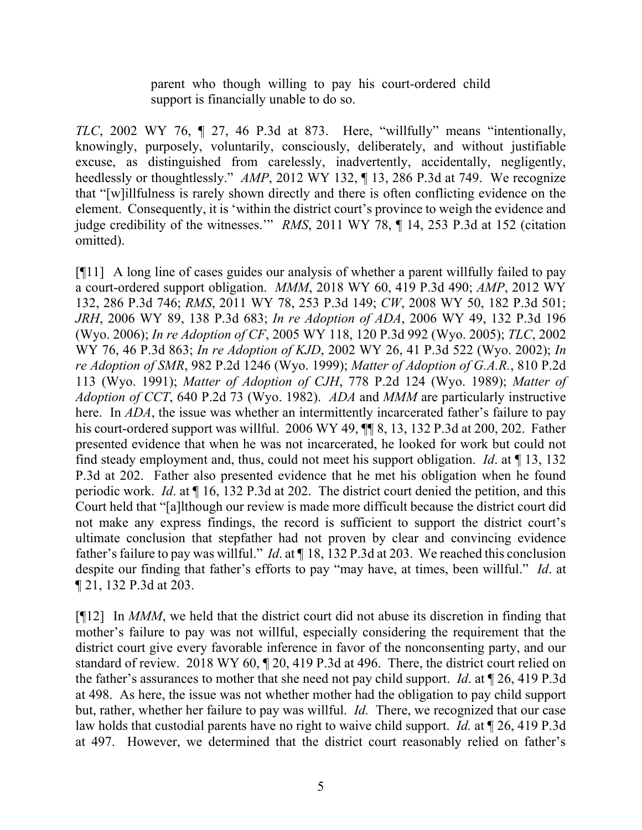parent who though willing to pay his court-ordered child support is financially unable to do so.

*TLC*, 2002 WY 76, ¶ 27, 46 P.3d at 873. Here, "willfully" means "intentionally, knowingly, purposely, voluntarily, consciously, deliberately, and without justifiable excuse, as distinguished from carelessly, inadvertently, accidentally, negligently, heedlessly or thoughtlessly." *AMP*, 2012 WY 132, ¶ 13, 286 P.3d at 749. We recognize that "[w]illfulness is rarely shown directly and there is often conflicting evidence on the element. Consequently, it is 'within the district court's province to weigh the evidence and judge credibility of the witnesses." *RMS*, 2011 WY 78, 14, 253 P.3d at 152 (citation omitted).

[¶11] A long line of cases guides our analysis of whether a parent willfully failed to pay a court-ordered support obligation. *MMM*, 2018 WY 60, 419 P.3d 490; *AMP*, 2012 WY 132, 286 P.3d 746; *RMS*, 2011 WY 78, 253 P.3d 149; *CW*, 2008 WY 50, 182 P.3d 501; *JRH*, 2006 WY 89, 138 P.3d 683; *In re Adoption of ADA*, 2006 WY 49, 132 P.3d 196 (Wyo. 2006); *In re Adoption of CF*, 2005 WY 118, 120 P.3d 992 (Wyo. 2005); *TLC*, 2002 WY 76, 46 P.3d 863; *In re Adoption of KJD*, 2002 WY 26, 41 P.3d 522 (Wyo. 2002); *In re Adoption of SMR*, 982 P.2d 1246 (Wyo. 1999); *Matter of Adoption of G.A.R.*, 810 P.2d 113 (Wyo. 1991); *Matter of Adoption of CJH*, 778 P.2d 124 (Wyo. 1989); *Matter of Adoption of CCT*, 640 P.2d 73 (Wyo. 1982). *ADA* and *MMM* are particularly instructive here. In *ADA*, the issue was whether an intermittently incarcerated father's failure to pay his court-ordered support was willful. 2006 WY 49,  $\P$  8, 13, 132 P.3d at 200, 202. Father presented evidence that when he was not incarcerated, he looked for work but could not find steady employment and, thus, could not meet his support obligation. *Id*. at ¶ 13, 132 P.3d at 202. Father also presented evidence that he met his obligation when he found periodic work. *Id*. at ¶ 16, 132 P.3d at 202. The district court denied the petition, and this Court held that "[a]lthough our review is made more difficult because the district court did not make any express findings, the record is sufficient to support the district court's ultimate conclusion that stepfather had not proven by clear and convincing evidence father's failure to pay was willful." *Id*. at ¶ 18, 132 P.3d at 203. We reached this conclusion despite our finding that father's efforts to pay "may have, at times, been willful." *Id*. at ¶ 21, 132 P.3d at 203.

[¶12] In *MMM*, we held that the district court did not abuse its discretion in finding that mother's failure to pay was not willful, especially considering the requirement that the district court give every favorable inference in favor of the nonconsenting party, and our standard of review. 2018 WY 60, ¶ 20, 419 P.3d at 496. There, the district court relied on the father's assurances to mother that she need not pay child support. *Id*. at ¶ 26, 419 P.3d at 498. As here, the issue was not whether mother had the obligation to pay child support but, rather, whether her failure to pay was willful. *Id.* There, we recognized that our case law holds that custodial parents have no right to waive child support. *Id.* at ¶ 26, 419 P.3d at 497. However, we determined that the district court reasonably relied on father's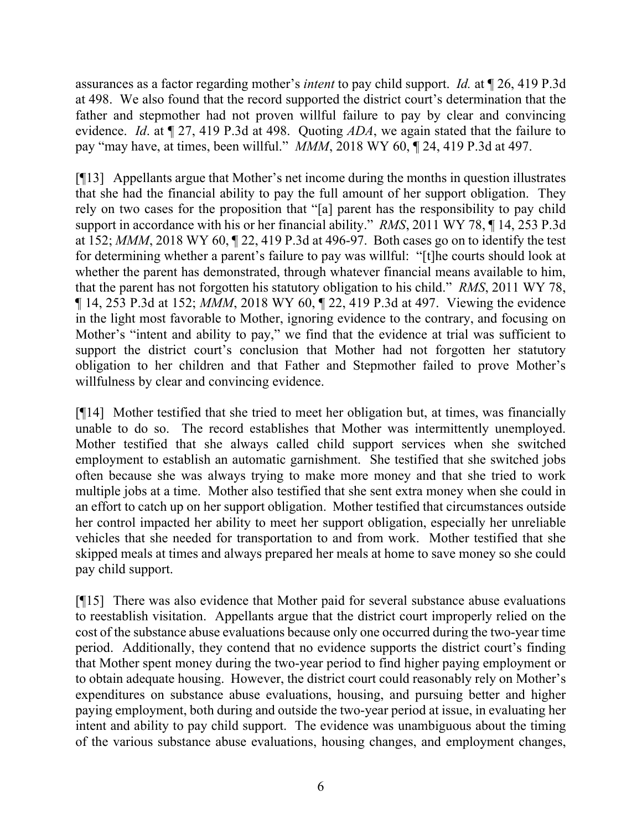assurances as a factor regarding mother's *intent* to pay child support. *Id.* at ¶ 26, 419 P.3d at 498. We also found that the record supported the district court's determination that the father and stepmother had not proven willful failure to pay by clear and convincing evidence. *Id*. at ¶ 27, 419 P.3d at 498. Quoting *ADA*, we again stated that the failure to pay "may have, at times, been willful." *MMM*, 2018 WY 60, ¶ 24, 419 P.3d at 497.

[¶13] Appellants argue that Mother's net income during the months in question illustrates that she had the financial ability to pay the full amount of her support obligation. They rely on two cases for the proposition that "[a] parent has the responsibility to pay child support in accordance with his or her financial ability." *RMS*, 2011 WY 78, ¶ 14, 253 P.3d at 152; *MMM*, 2018 WY 60, ¶ 22, 419 P.3d at 496-97. Both cases go on to identify the test for determining whether a parent's failure to pay was willful: "[t]he courts should look at whether the parent has demonstrated, through whatever financial means available to him, that the parent has not forgotten his statutory obligation to his child." *RMS*, 2011 WY 78, ¶ 14, 253 P.3d at 152; *MMM*, 2018 WY 60, ¶ 22, 419 P.3d at 497. Viewing the evidence in the light most favorable to Mother, ignoring evidence to the contrary, and focusing on Mother's "intent and ability to pay," we find that the evidence at trial was sufficient to support the district court's conclusion that Mother had not forgotten her statutory obligation to her children and that Father and Stepmother failed to prove Mother's willfulness by clear and convincing evidence.

[¶14] Mother testified that she tried to meet her obligation but, at times, was financially unable to do so. The record establishes that Mother was intermittently unemployed. Mother testified that she always called child support services when she switched employment to establish an automatic garnishment. She testified that she switched jobs often because she was always trying to make more money and that she tried to work multiple jobs at a time. Mother also testified that she sent extra money when she could in an effort to catch up on her support obligation. Mother testified that circumstances outside her control impacted her ability to meet her support obligation, especially her unreliable vehicles that she needed for transportation to and from work. Mother testified that she skipped meals at times and always prepared her meals at home to save money so she could pay child support.

[¶15] There was also evidence that Mother paid for several substance abuse evaluations to reestablish visitation. Appellants argue that the district court improperly relied on the cost of the substance abuse evaluations because only one occurred during the two-year time period. Additionally, they contend that no evidence supports the district court's finding that Mother spent money during the two-year period to find higher paying employment or to obtain adequate housing. However, the district court could reasonably rely on Mother's expenditures on substance abuse evaluations, housing, and pursuing better and higher paying employment, both during and outside the two-year period at issue, in evaluating her intent and ability to pay child support. The evidence was unambiguous about the timing of the various substance abuse evaluations, housing changes, and employment changes,